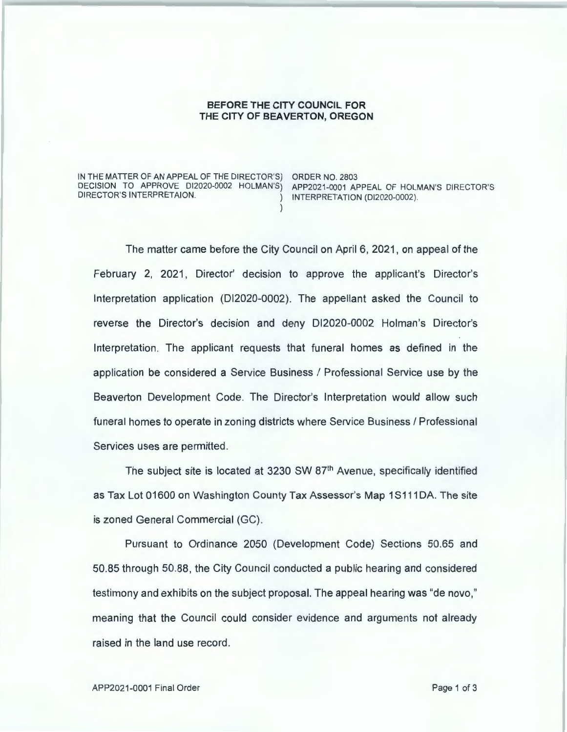## **BEFORE THE CITY COUNCIL FOR THE CITY OF BEAVERTON, OREGON**

)

IN THE MATTER OF AN APPEAL OF THE DIRECTOR'S) ORDER NO. 2803 DECISION TO APPROVE DI2020-0002 HOLMAN'S) APP2021-0001 APPEAL OF HOLMAN'S DIRECTOR'S<br>DIRECTOR'S INTERPRETAION. (DI2020-0002)

) INTERPRETATION (DI2020-0002).

The matter came before the City Council on April 6, 2021 , on appeal of the February 2, 2021, Director' decision to approve the applicant's Director's Interpretation application (Dl2020-0002). The appellant asked the Council to reverse the Director's decision and deny Dl2020-0002 Holman's Director's Interpretation. The applicant requests that funeral homes as defined in the application be considered a Service Business I Professional Service use by the Beaverton Development Code. The Director's Interpretation would allow such funeral homes to operate in zoning districts where Service Business / Professional Services uses are permitted.

The subject site is located at 3230 SW 87<sup>th</sup> Avenue, specifically identified as Tax Lot 01600 on Washington County Tax Assessor's Map 1S111DA. The site is zoned General Commercial (GC).

Pursuant to Ordinance 2050 (Development Code) Sections 50.65 and 50.85 through 50.88, the City Council conducted a public hearing and considered testimony and exhibits on the subject proposal. The appeal hearing was "de nova," meaning that the Council could consider evidence and arguments not already raised in the land use record.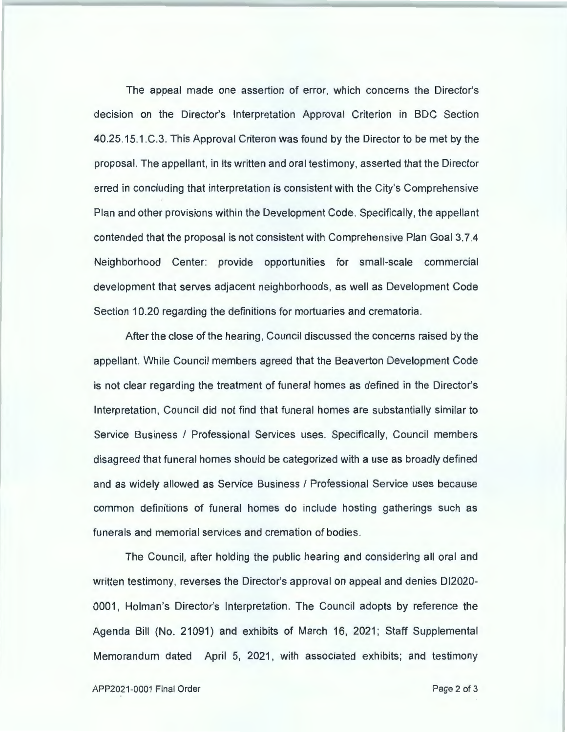The appeal made one assertion of error, which concerns the Director's decision on the Director's Interpretation Approval Criterion in BOC Section 40.25.15.1.C.3. This Approval Criteron was found by the Director to be met by the proposal. The appellant, in its written and oral testimony, asserted that the Director erred in concluding that interpretation is consistent with the City's Comprehensive Plan and other provisions within the Development Code . Specifically, the appellant contended that the proposal is not consistent with Comprehensive Plan Goal 3.7.4 Neighborhood Center: provide opportunities for small-scale commercial development that serves adjacent neighborhoods, as well as Development Code Section 10.20 regarding the definitions for mortuaries and crematoria .

After the close of the hearing, Council discussed the concerns raised by the appellant. While Council members agreed that the Beaverton Development Code is not clear regarding the treatment of funeral homes as defined in the Director's Interpretation, Council did not find that funeral homes are substantially similar to Service Business I Professional Services uses. Specifically, Council members disagreed that funeral homes should be categorized with a use as broadly defined and as widely allowed as Service Business I Professional Service uses because common definitions of funeral homes do include hosting gatherings such as funerals and memorial services and cremation of bodies .

The Council, after holding the public hearing and considering all oral and written testimony, reverses the Director's approval on appeal and denies 012020- 0001, Holman's Director's Interpretation. The Council adopts by reference the Agenda Bill (No. 21091) and exhibits of March 16, 2021; Staff Supplemental Memorandum dated April 5, 2021 , with associated exhibits; and testimony